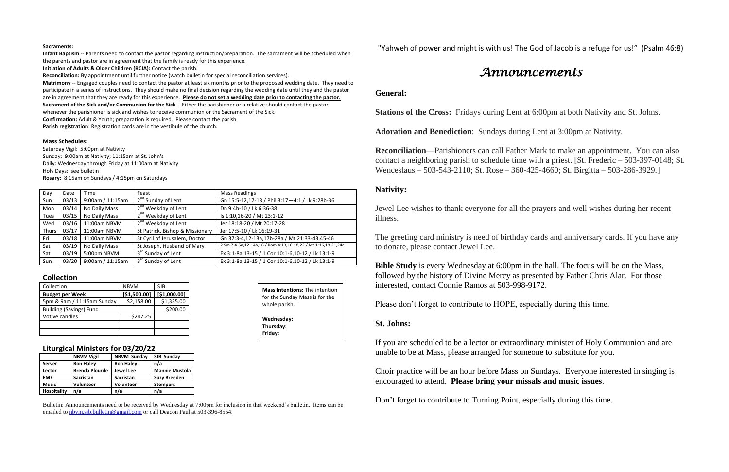#### **Sacraments:**

**Infant Baptism** -- Parents need to contact the pastor regarding instruction/preparation. The sacrament will be scheduled when the parents and pastor are in agreement that the family is ready for this experience.

**Initiation of Adults & Older Children (RCIA):** Contact the parish.

**Reconciliation:** By appointment until further notice (watch bulletin for special reconciliation services).

**Matrimony** -- Engaged couples need to contact the pastor at least six months prior to the proposed wedding date. They need to participate in a series of instructions. They should make no final decision regarding the wedding date until they and the pastor are in agreement that they are ready for this experience. **Please do not set a wedding date prior to contacting the pastor. Sacrament of the Sick and/or Communion for the Sick** -- Either the parishioner or a relative should contact the pastor whenever the parishioner is sick and wishes to receive communion or the Sacrament of the Sick. **Confirmation:** Adult & Youth; preparation is required. Please contact the parish.

**Parish registration**: Registration cards are in the vestibule of the church.

### **Mass Schedules:**

Saturday Vigil: 5:00pm at Nativity Sunday: 9:00am at Nativity; 11:15am at St. John's Daily: Wednesday through Friday at 11:00am at Nativity Holy Days: see bulletin **Rosary:** 8:15am on Sundays / 4:15pm on Saturdays

Bulletin: Announcements need to be received by Wednesday at 7:00pm for inclusion in that weekend's bulletin. Items can be emailed to [nbvm.sjb.bulletin@gmail.com](mailto:nbvm.sjb.bulletin@gmail.com) or call Deacon Paul at 503-396-8554.

| Day          | Date  | Time             | Feast                           | <b>Mass Readings</b>                                          |
|--------------|-------|------------------|---------------------------------|---------------------------------------------------------------|
| Sun          | 03/13 | 9:00am / 11:15am | 2 <sup>nd</sup> Sunday of Lent  | Gn 15:5-12,17-18 / Phil 3:17-4:1 / Lk 9:28b-36                |
| Mon          | 03/14 | No Daily Mass    | 2 <sup>nd</sup> Weekday of Lent | Dn 9:4b-10 / Lk 6:36-38                                       |
| Tues         | 03/15 | No Daily Mass    | 2 <sup>nd</sup> Weekday of Lent | Is 1:10,16-20 / Mt 23:1-12                                    |
| Wed          | 03/16 | 11:00am NBVM     | 2 <sup>nd</sup> Weekday of Lent | Jer 18:18-20 / Mt 20:17-28                                    |
| <b>Thurs</b> | 03/17 | 11:00am NBVM     | St Patrick, Bishop & Missionary | Jer 17:5-10 / Lk 16:19-31                                     |
| Fri          | 03/18 | 11:00am NBVM     | St Cyril of Jerusalem, Doctor   | Gn 37:3-4,12-13a,17b-28a / Mt 21:33-43,45-46                  |
| Sat          | 03/19 | No Daily Mass    | St Joseph, Husband of Mary      | 2 Sm 7:4-5a,12-14a,16 / Rom 4:13,16-18,22 / Mt 1:16,18-21,24a |
| Sat          | 03/19 | 5:00pm NBVM      | 3rd Sunday of Lent              | Ex 3:1-8a,13-15 / 1 Cor 10:1-6,10-12 / Lk 13:1-9              |
| Sun          | 03/20 | 9:00am / 11:15am | 3rd Sunday of Lent              | Ex 3:1-8a,13-15 / 1 Cor 10:1-6,10-12 / Lk 13:1-9              |

**Bible Study** is every Wednesday at 6:00pm in the hall. The focus will be on the Mass, followed by the history of Divine Mercy as presented by Father Chris Alar. For those interested, contact Connie Ramos at 503-998-9172.

## **Collection**

| Collection                     | <b>NBVM</b>  | SJB          |
|--------------------------------|--------------|--------------|
| <b>Budget per Week</b>         | [\$1,500.00] | [\$1,000.00] |
| 5pm & 9am / 11:15am Sunday     | \$2,158.00   | \$1,335.00   |
| <b>Building (Savings) Fund</b> |              | \$200.00     |
| Votive candles                 | \$247.25     |              |
|                                |              |              |
|                                |              |              |

## **Liturgical Ministers for 03/20/22**

|                    | <b>NBVM Vigil</b>     | <b>NBVM Sunday</b> | SJB Sunday            |  |
|--------------------|-----------------------|--------------------|-----------------------|--|
| <b>Server</b>      | <b>Ron Haley</b>      | <b>Ron Haley</b>   | n/a                   |  |
| Lector             | <b>Brenda Plourde</b> | <b>Jewel Lee</b>   | <b>Mannie Mustola</b> |  |
| <b>EME</b>         | <b>Sacristan</b>      | <b>Sacristan</b>   | <b>Suzy Breeden</b>   |  |
| <b>Music</b>       | <b>Volunteer</b>      | Volunteer          | <b>Stempers</b>       |  |
| <b>Hospitality</b> | n/a                   | n/a                | n/a                   |  |

"Yahweh of power and might is with us! The God of Jacob is a refuge for us!" (Psalm 46:8)

# *Announcements*

## **General:**

**Stations of the Cross:** Fridays during Lent at 6:00pm at both Nativity and St. Johns.

**Adoration and Benediction**: Sundays during Lent at 3:00pm at Nativity.

**Reconciliation**—Parishioners can call Father Mark to make an appointment. You can also contact a neighboring parish to schedule time with a priest. [St. Frederic – 503-397-0148; St. Wenceslaus – 503-543-2110; St. Rose – 360-425-4660; St. Birgitta – 503-286-3929.]

## **Nativity:**

Jewel Lee wishes to thank everyone for all the prayers and well wishes during her recent illness.

The greeting card ministry is need of birthday cards and anniversary cards. If you have any to donate, please contact Jewel Lee.

Please don't forget to contribute to HOPE, especially during this time.

## **St. Johns:**

If you are scheduled to be a lector or extraordinary minister of Holy Communion and are unable to be at Mass, please arranged for someone to substitute for you.

Choir practice will be an hour before Mass on Sundays. Everyone interested in singing is encouraged to attend. **Please bring your missals and music issues**.

Don't forget to contribute to Turning Point, especially during this time.

**Mass Intentions:** The intention for the Sunday Mass is for the

whole parish.

**Wednesday: Thursday: Friday:**